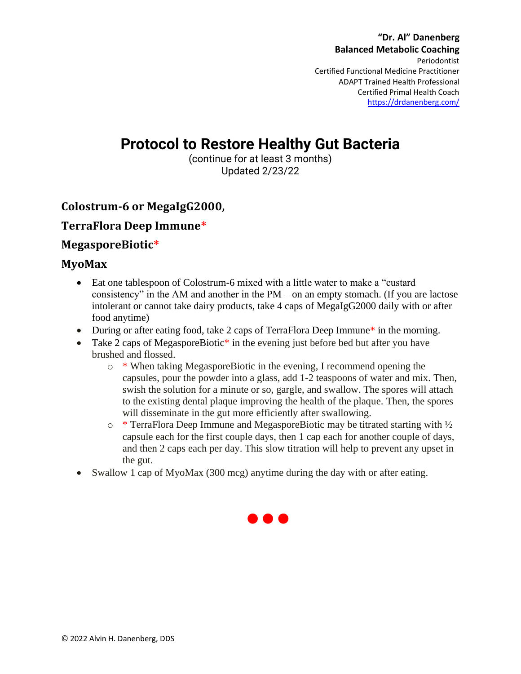**"Dr. Al" Danenberg Balanced Metabolic Coaching** Periodontist Certified Functional Medicine Practitioner ADAPT Trained Health Professional Certified Primal Health Coach <https://drdanenberg.com/>

# **Protocol to Restore Healthy Gut Bacteria**

(continue for at least 3 months) Updated 2/23/22

## **Colostrum-6 or MegaIgG2000,**

### **TerraFlora Deep Immune\***

#### **MegasporeBiotic\***

#### **MyoMax**

- Eat one tablespoon of Colostrum-6 mixed with a little water to make a "custard" consistency" in the AM and another in the PM – on an empty stomach. (If you are lactose intolerant or cannot take dairy products, take 4 caps of MegaIgG2000 daily with or after food anytime)
- During or after eating food, take 2 caps of TerraFlora Deep Immune<sup>\*</sup> in the morning.
- Take 2 caps of MegasporeBiotic<sup>\*</sup> in the evening just before bed but after you have brushed and flossed.
	- $\circ$  \* When taking MegasporeBiotic in the evening, I recommend opening the capsules, pour the powder into a glass, add 1-2 teaspoons of water and mix. Then, swish the solution for a minute or so, gargle, and swallow. The spores will attach to the existing dental plaque improving the health of the plaque. Then, the spores will disseminate in the gut more efficiently after swallowing.
	- o \* TerraFlora Deep Immune and MegasporeBiotic may be titrated starting with ½ capsule each for the first couple days, then 1 cap each for another couple of days, and then 2 caps each per day. This slow titration will help to prevent any upset in the gut.
- Swallow 1 cap of MyoMax (300 mcg) anytime during the day with or after eating.